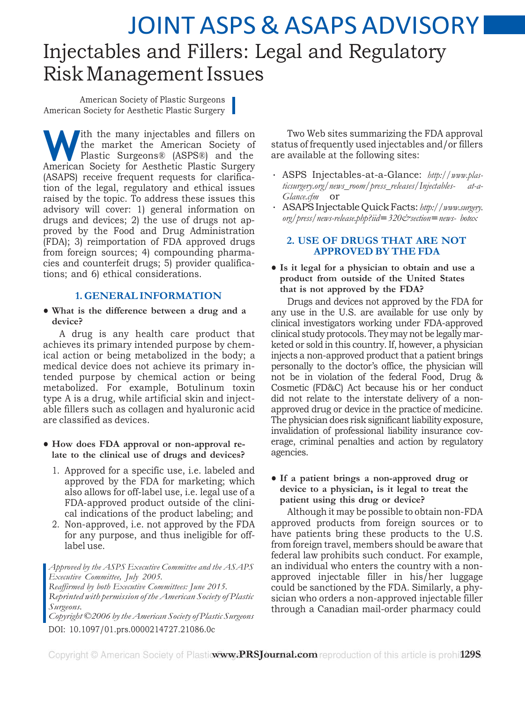# JOINT ASPS & ASAPS ADVISORY Injectables and Fillers: Legal and Regulatory Risk Management Issues

American Society of Plastic Surgeons American Society for Aesthetic Plastic Surgery

**Which the many injectables and fillers on**<br>the market the American Society of<br>Plastic Surgeons® (ASPS®) and the<br>American Society for Aesthetic Plastic Surgery ith the many injectables and fillers on the market the American Society of Plastic Surgeons® (ASPS®) and the (ASAPS) receive frequent requests for clarification of the legal, regulatory and ethical issues raised by the topic. To address these issues this advisory will cover: 1) general information on drugs and devices; 2) the use of drugs not approved by the Food and Drug Administration (FDA); 3) reimportation of FDA approved drugs from foreign sources; 4) compounding pharmacies and counterfeit drugs; 5) provider qualifications; and 6) ethical considerations.

### **1. GENERAL INFORMATION**

● **What is the difference between a drug and a device?**

A drug is any health care product that achieves its primary intended purpose by chemical action or being metabolized in the body; a medical device does not achieve its primary intended purpose by chemical action or being metabolized. For example, Botulinum toxin type A is a drug, while artificial skin and injectable fillers such as collagen and hyaluronic acid are classified as devices.

- **How does FDA approval or non-approval relate to the clinical use of drugs and devices?**
	- 1. Approved for a specific use, i.e. labeled and approved by the FDA for marketing; which also allows for off-label use, i.e. legal use of a FDA-approved product outside of the clinical indications of the product labeling; and
	- 2. Non-approved, i.e. not approved by the FDA for any purpose, and thus ineligible for offlabel use.

*Approved by the ASPS Executive Committee and the ASAPS Executive Committee, July 2005.*

*Reaffirmed by both Executive Committees: June 2015. Reprinted with permission of the American Societyof Plastic Surgeons.*

*Copyright©2006 bytheAmerican Societyof Plastic Surgeons* DOI: 10.1097/01.prs.0000214727.21086.0c

Two Web sites summarizing the FDA approval status of frequently used injectables and/or fillers are available at the following sites:

- ASPS Injectables-at-a-Glance: *http://www.plasticsurgery.org/news\_room/press\_releases/Injectables- at-a-Glance.cfm* or
- ASAPSInjectable QuickFacts: *http://www.surgery. org/press/news-release.php?iid*=*320&section*=*news- botox*

## **2. USE OF DRUGS THAT ARE NOT APPROVED BY THE FDA**

● **Is it legal for a physician to obtain and use a product from outside of the United States that is not approved by the FDA?**

Drugs and devices not approved by the FDA for any use in the U.S. are available for use only by clinical investigators working under FDA-approved clinical study protocols. They may not be legally marketed or sold in this country. If, however, a physician injects a non-approved product that a patient brings personally to the doctor's office, the physician will not be in violation of the federal Food, Drug & Cosmetic (FD&C) Act because his or her conduct did not relate to the interstate delivery of a nonapproved drug or device in the practice of medicine. The physician does risk significant liability exposure, invalidation of professional liability insurance coverage, criminal penalties and action by regulatory agencies.

## ● **If a patient brings a non-approved drug or device to a physician, is it legal to treat the patient using this drug or device?**

Although it may be possible to obtain non-FDA approved products from foreign sources or to have patients bring these products to the U.S. from foreign travel, members should be aware that federal law prohibits such conduct. For example, an individual who enters the country with a nonapproved injectable filler in his/her luggage could be sanctioned by the FDA. Similarly, a physician who orders a non-approved injectable filler through a Canadian mail-order pharmacy could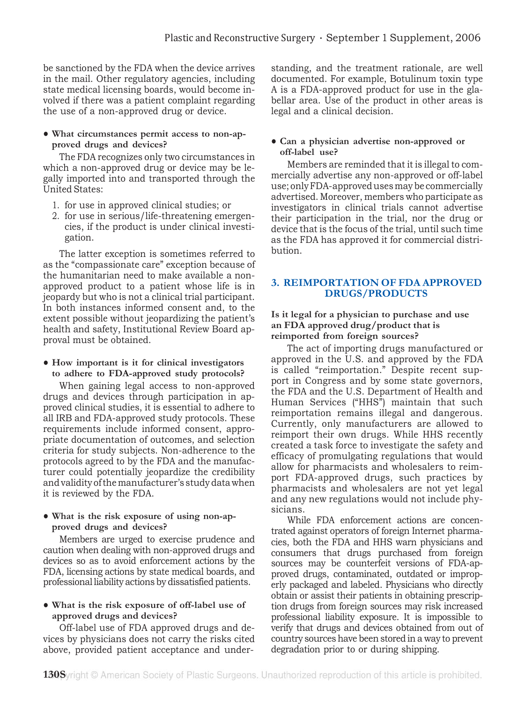be sanctioned by the FDA when the device arrives in the mail. Other regulatory agencies, including state medical licensing boards, would become involved if there was a patient complaint regarding the use of a non-approved drug or device.

## ● **What circumstances permit access to non-approved drugs and devices?**

The FDA recognizes only two circumstances in which a non-approved drug or device may be legally imported into and transported through the United States:

- 1. for use in approved clinical studies; or
- 2. for use in serious/life-threatening emergencies, if the product is under clinical investigation.

The latter exception is sometimes referred to as the "compassionate care" exception because of the humanitarian need to make available a nonapproved product to a patient whose life is in jeopardy but who is not a clinical trial participant. In both instances informed consent and, to the extent possible without jeopardizing the patient's health and safety, Institutional Review Board approval must be obtained.

## ● **How important is it for clinical investigators to adhere to FDA-approved study protocols?**

When gaining legal access to non-approved drugs and devices through participation in approved clinical studies, it is essential to adhere to all IRB and FDA-approved study protocols. These requirements include informed consent, appropriate documentation of outcomes, and selection criteria for study subjects. Non-adherence to the protocols agreed to by the FDA and the manufacturer could potentially jeopardize the credibility andvalidity ofthemanufacturer's study datawhen it is reviewed by the FDA.

## ● **What is the risk exposure of using non-approved drugs and devices?**

Members are urged to exercise prudence and caution when dealing with non-approved drugs and devices so as to avoid enforcement actions by the FDA, licensing actions by state medical boards, and professional liability actions by dissatisfied patients.

# ● **What is the risk exposure of off-label use of approved drugs and devices?**

Off-label use of FDA approved drugs and devices by physicians does not carry the risks cited above, provided patient acceptance and under-

standing, and the treatment rationale, are well documented. For example, Botulinum toxin type A is a FDA-approved product for use in the glabellar area. Use of the product in other areas is legal and a clinical decision.

## ● **Can a physician advertise non-approved or off-label use?**

Members are reminded that it is illegal to commercially advertise any non-approved or off-label use; only FDA-approved uses may be commercially advertised. Moreover, members who participate as investigators in clinical trials cannot advertise their participation in the trial, nor the drug or device that is the focus of the trial, until such time as the FDA has approved it for commercial distribution.

# **3. REIMPORTATION OF FDA APPROVED DRUGS/PRODUCTS**

## **Is it legal for a physician to purchase and use an FDA approved drug/product that is reimported from foreign sources?**

The act of importing drugs manufactured or approved in the U.S. and approved by the FDA is called "reimportation." Despite recent support in Congress and by some state governors, the FDA and the U.S. Department of Health and Human Services ("HHS") maintain that such reimportation remains illegal and dangerous. Currently, only manufacturers are allowed to reimport their own drugs. While HHS recently created a task force to investigate the safety and efficacy of promulgating regulations that would allow for pharmacists and wholesalers to reimport FDA-approved drugs, such practices by pharmacists and wholesalers are not yet legal and any new regulations would not include physicians.

While FDA enforcement actions are concentrated against operators of foreign Internet pharmacies, both the FDA and HHS warn physicians and consumers that drugs purchased from foreign sources may be counterfeit versions of FDA-approved drugs, contaminated, outdated or improperly packaged and labeled. Physicians who directly obtain or assist their patients in obtaining prescription drugs from foreign sources may risk increased professional liability exposure. It is impossible to verify that drugs and devices obtained from out of country sources have been stored in a way to prevent degradation prior to or during shipping.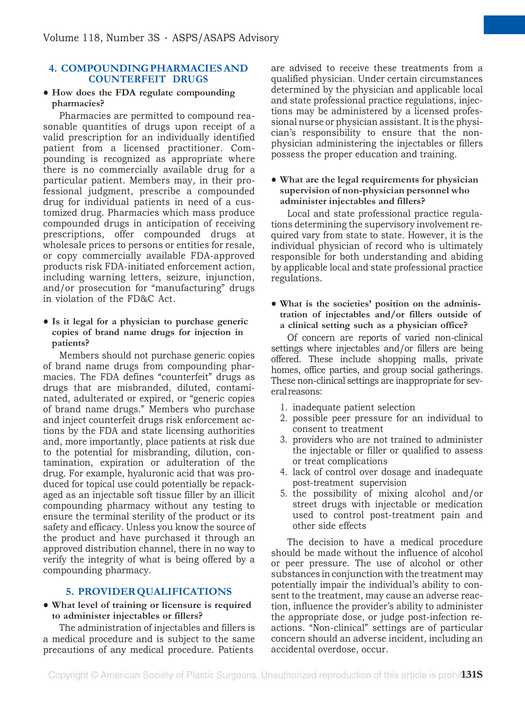## **4. COMPOUNDINGPHARMACIESAND COUNTERFEIT DRUGS**

#### ● **How does the FDA regulate compounding pharmacies?**

Pharmacies are permitted to compound reasonable quantities of drugs upon receipt of a valid prescription for an individually identified patient from a licensed practitioner. Compounding is recognized as appropriate where there is no commercially available drug for a particular patient. Members may, in their professional judgment, prescribe a compounded drug for individual patients in need of a customized drug. Pharmacies which mass produce compounded drugs in anticipation of receiving prescriptions, offer compounded drugs at wholesale prices to persons or entities for resale, or copy commercially available FDA-approved products risk FDA-initiated enforcement action, including warning letters, seizure, injunction, and/or prosecution for "manufacturing" drugs in violation of the FD&C Act.

### ● **Is it legal for a physician to purchase generic copies of brand name drugs for injection in patients?**

Members should not purchase generic copies of brand name drugs from compounding pharmacies. The FDA defines "counterfeit" drugs as drugs that are misbranded, diluted, contaminated, adulterated or expired, or "generic copies of brand name drugs." Members who purchase and inject counterfeit drugs risk enforcement actions by the FDA and state licensing authorities and, more importantly, place patients at risk due to the potential for misbranding, dilution, contamination, expiration or adulteration of the drug. For example, hyaluronic acid that was produced for topical use could potentially be repackaged as an injectable soft tissue filler by an illicit compounding pharmacy without any testing to ensure the terminal sterility of the product or its safety and efficacy. Unless you know the source of the product and have purchased it through an approved distribution channel, there in no way to verify the integrity of what is being offered by a compounding pharmacy.

# **5. PROVIDERQUALIFICATIONS**

# ● **What level of training or licensure is required to administer injectables or fillers?**

The administration of injectables and fillers is a medical procedure and is subject to the same precautions of any medical procedure. Patients

are advised to receive these treatments from a qualified physician. Under certain circumstances determined by the physician and applicable local and state professional practice regulations, injections may be administered by a licensed professional nurse or physician assistant. It is the physician's responsibility to ensure that the nonphysician administering the injectables or fillers possess the proper education and training.

# ● **What are the legal requirements for physician supervision of non-physician personnel who administer injectables and fillers?**

Local and state professional practice regulations determining the supervisory involvement required vary from state to state. However, it is the individual physician of record who is ultimately responsible for both understanding and abiding by applicable local and state professional practice regulations.

● **What is the societies' position on the administration of injectables and/or fillers outside of a clinical setting such as a physician office?**

Of concern are reports of varied non-clinical settings where injectables and/or fillers are being offered. These include shopping malls, private homes, office parties, and group social gatherings. These non-clinical settings are inappropriate for several reasons:

- 1. inadequate patient selection
- 2. possible peer pressure for an individual to consent to treatment
- 3. providers who are not trained to administer the injectable or filler or qualified to assess or treat complications
- 4. lack of control over dosage and inadequate post-treatment supervision
- 5. the possibility of mixing alcohol and/or street drugs with injectable or medication used to control post-treatment pain and other side effects

The decision to have a medical procedure should be made without the influence of alcohol or peer pressure. The use of alcohol or other substances in conjunction with the treatment may potentially impair the individual's ability to consent to the treatment, may cause an adverse reaction, influence the provider's ability to administer the appropriate dose, or judge post-infection reactions. "Non-clinical" settings are of particular concern should an adverse incident, including an accidental overdose, occur.